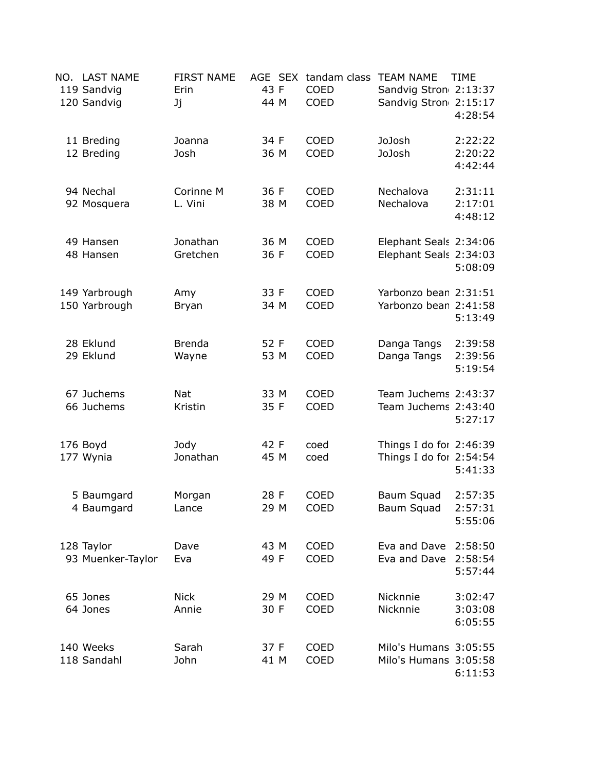| NO. LAST NAME<br>119 Sandvig<br>120 Sandvig | <b>FIRST NAME</b><br>Erin<br>Jj | AGE SEX<br>43 F<br>44 M | tandam class<br>COED<br>COED | <b>TEAM NAME</b><br>Sandvig Stron 2:13:37<br>Sandvig Stron 2:15:17 | <b>TIME</b><br>4:28:54        |
|---------------------------------------------|---------------------------------|-------------------------|------------------------------|--------------------------------------------------------------------|-------------------------------|
| 11 Breding<br>12 Breding                    | Joanna<br>Josh                  | 34 F<br>36 M            | <b>COED</b><br><b>COED</b>   | JoJosh<br>JoJosh                                                   | 2:22:22<br>2:20:22<br>4:42:44 |
| 94 Nechal<br>92 Mosquera                    | Corinne M<br>L. Vini            | 36 F<br>38 M            | <b>COED</b><br><b>COED</b>   | Nechalova<br>Nechalova                                             | 2:31:11<br>2:17:01<br>4:48:12 |
| 49 Hansen<br>48 Hansen                      | Jonathan<br>Gretchen            | 36 M<br>36 F            | COED<br>COED                 | Elephant Seals 2:34:06<br>Elephant Seals 2:34:03                   | 5:08:09                       |
| 149 Yarbrough<br>150 Yarbrough              | Amy<br><b>Bryan</b>             | 33 F<br>34 M            | COED<br><b>COED</b>          | Yarbonzo bean 2:31:51<br>Yarbonzo bean 2:41:58                     | 5:13:49                       |
| 28 Eklund<br>29 Eklund                      | <b>Brenda</b><br>Wayne          | 52 F<br>53 M            | <b>COED</b><br><b>COED</b>   | Danga Tangs<br>Danga Tangs                                         | 2:39:58<br>2:39:56<br>5:19:54 |
| 67 Juchems<br>66 Juchems                    | <b>Nat</b><br>Kristin           | 33 M<br>35 F            | COED<br><b>COED</b>          | Team Juchems 2:43:37<br>Team Juchems 2:43:40                       | 5:27:17                       |
| 176 Boyd<br>177 Wynia                       | Jody<br>Jonathan                | 42 F<br>45 M            | coed<br>coed                 | Things I do for 2:46:39<br>Things I do for 2:54:54                 | 5:41:33                       |
| 5 Baumgard<br>4 Baumgard                    | Morgan<br>Lance                 | 28 F<br>29 M            | <b>COED</b><br><b>COED</b>   | Baum Squad<br>Baum Squad                                           | 2:57:35<br>2:57:31<br>5:55:06 |
| 128 Taylor<br>93 Muenker-Taylor             | Dave<br>Eva                     | 43 M<br>49 F            | COED<br>COED                 | Eva and Dave<br>Eva and Dave                                       | 2:58:50<br>2:58:54<br>5:57:44 |
| 65 Jones<br>64 Jones                        | <b>Nick</b><br>Annie            | 29 M<br>30 F            | COED<br>COED                 | Nicknnie<br>Nicknnie                                               | 3:02:47<br>3:03:08<br>6:05:55 |
| 140 Weeks<br>118 Sandahl                    | Sarah<br>John                   | 37 F<br>41 M            | COED<br>COED                 | Milo's Humans 3:05:55<br>Milo's Humans 3:05:58                     | 6:11:53                       |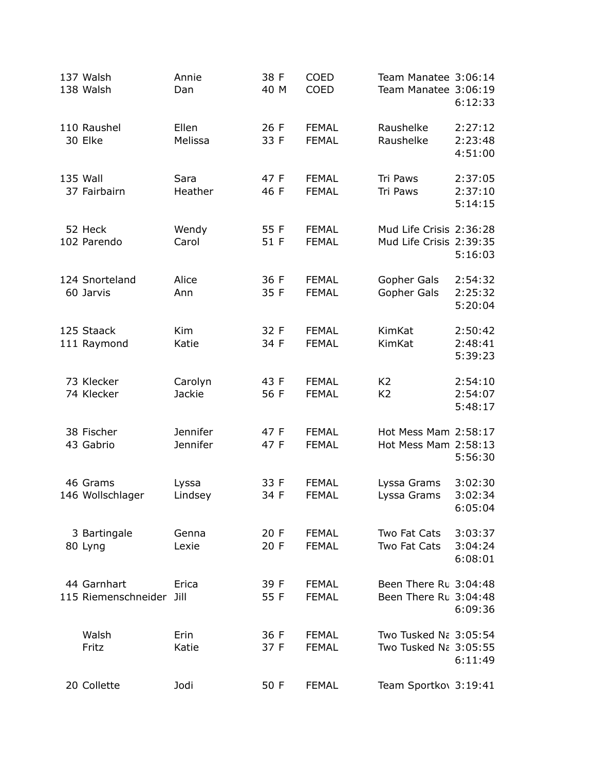| 137 Walsh<br>138 Walsh             | Annie<br>Dan                | 38 F<br>40 M | <b>COED</b><br><b>COED</b>   | Team Manatee 3:06:14<br>Team Manatee 3:06:19       | 6:12:33                       |
|------------------------------------|-----------------------------|--------------|------------------------------|----------------------------------------------------|-------------------------------|
| 110 Raushel<br>30 Elke             | Ellen<br>Melissa            | 26 F<br>33 F | <b>FEMAL</b><br><b>FEMAL</b> | Raushelke<br>Raushelke                             | 2:27:12<br>2:23:48<br>4:51:00 |
| <b>135 Wall</b><br>37 Fairbairn    | Sara<br>Heather             | 47 F<br>46 F | <b>FEMAL</b><br><b>FEMAL</b> | Tri Paws<br>Tri Paws                               | 2:37:05<br>2:37:10<br>5:14:15 |
| 52 Heck<br>102 Parendo             | Wendy<br>Carol              | 55 F<br>51 F | <b>FEMAL</b><br><b>FEMAL</b> | Mud Life Crisis 2:36:28<br>Mud Life Crisis 2:39:35 | 5:16:03                       |
| 124 Snorteland<br>60 Jarvis        | Alice<br>Ann                | 36 F<br>35 F | <b>FEMAL</b><br><b>FEMAL</b> | Gopher Gals<br>Gopher Gals                         | 2:54:32<br>2:25:32<br>5:20:04 |
| 125 Staack<br>111 Raymond          | Kim<br>Katie                | 32 F<br>34 F | <b>FEMAL</b><br><b>FEMAL</b> | KimKat<br>KimKat                                   | 2:50:42<br>2:48:41<br>5:39:23 |
| 73 Klecker<br>74 Klecker           | Carolyn<br><b>Jackie</b>    | 43 F<br>56 F | <b>FEMAL</b><br><b>FEMAL</b> | K <sub>2</sub><br>K <sub>2</sub>                   | 2:54:10<br>2:54:07<br>5:48:17 |
| 38 Fischer<br>43 Gabrio            | <b>Jennifer</b><br>Jennifer | 47 F<br>47 F | <b>FEMAL</b><br><b>FEMAL</b> | Hot Mess Mam 2:58:17<br>Hot Mess Mam 2:58:13       | 5:56:30                       |
| 46 Grams<br>146 Wollschlager       | Lyssa<br>Lindsey            | 33 F<br>34 F | <b>FEMAL</b><br><b>FEMAL</b> | Lyssa Grams<br>Lyssa Grams                         | 3:02:30<br>3:02:34<br>6:05:04 |
| 3 Bartingale<br>80 Lyng            | Genna<br>Lexie              | 20 F<br>20 F | <b>FEMAL</b><br><b>FEMAL</b> | Two Fat Cats<br>Two Fat Cats                       | 3:03:37<br>3:04:24<br>6:08:01 |
| 44 Garnhart<br>115 Riemenschneider | Erica<br>Jill               | 39 F<br>55 F | <b>FEMAL</b><br><b>FEMAL</b> | Been There Ru 3:04:48<br>Been There Ru 3:04:48     | 6:09:36                       |
| Walsh<br>Fritz                     | Erin<br>Katie               | 36 F<br>37 F | <b>FEMAL</b><br><b>FEMAL</b> | Two Tusked Na 3:05:54<br>Two Tusked Na 3:05:55     | 6:11:49                       |
| 20 Collette                        | Jodi                        | 50 F         | <b>FEMAL</b>                 | Team Sportkov 3:19:41                              |                               |